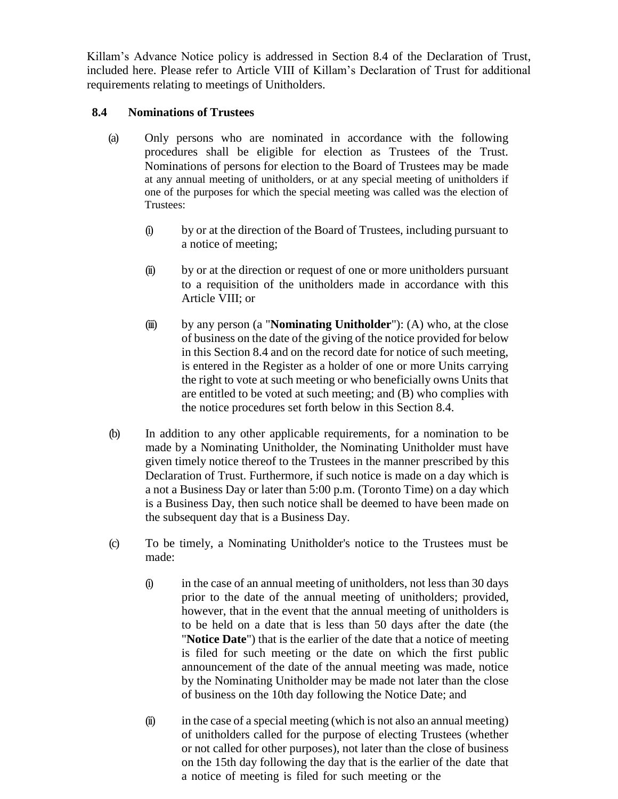Killam's Advance Notice policy is addressed in Section 8.4 of the Declaration of Trust, included here. Please refer to Article VIII of Killam's Declaration of Trust for additional requirements relating to meetings of Unitholders.

## **8.4 Nominations of Trustees**

- (a) Only persons who are nominated in accordance with the following procedures shall be eligible for election as Trustees of the Trust. Nominations of persons for election to the Board of Trustees may be made at any annual meeting of unitholders, or at any special meeting of unitholders if one of the purposes for which the special meeting was called was the election of Trustees:
	- (i) by or at the direction of the Board of Trustees, including pursuant to a notice of meeting;
	- (ii) by or at the direction or request of one or more unitholders pursuant to a requisition of the unitholders made in accordance with this Article VIII; or
	- (iii) by any person (a "**Nominating Unitholder**"): (A) who, at the close of business on the date of the giving of the notice provided for below in this Section 8.4 and on the record date for notice of such meeting, is entered in the Register as a holder of one or more Units carrying the right to vote at such meeting or who beneficially owns Units that are entitled to be voted at such meeting; and (B) who complies with the notice procedures set forth below in this Section 8.4.
- (b) In addition to any other applicable requirements, for a nomination to be made by a Nominating Unitholder, the Nominating Unitholder must have given timely notice thereof to the Trustees in the manner prescribed by this Declaration of Trust. Furthermore, if such notice is made on a day which is a not a Business Day or later than 5:00 p.m. (Toronto Time) on a day which is a Business Day, then such notice shall be deemed to have been made on the subsequent day that is a Business Day.
- (c) To be timely, a Nominating Unitholder's notice to the Trustees must be made:
	- (i) in the case of an annual meeting of unitholders, not less than 30 days prior to the date of the annual meeting of unitholders; provided, however, that in the event that the annual meeting of unitholders is to be held on a date that is less than 50 days after the date (the "**Notice Date**") that is the earlier of the date that a notice of meeting is filed for such meeting or the date on which the first public announcement of the date of the annual meeting was made, notice by the Nominating Unitholder may be made not later than the close of business on the 10th day following the Notice Date; and
	- (ii) in the case of a special meeting (which is not also an annual meeting) of unitholders called for the purpose of electing Trustees (whether or not called for other purposes), not later than the close of business on the 15th day following the day that is the earlier of the date that a notice of meeting is filed for such meeting or the